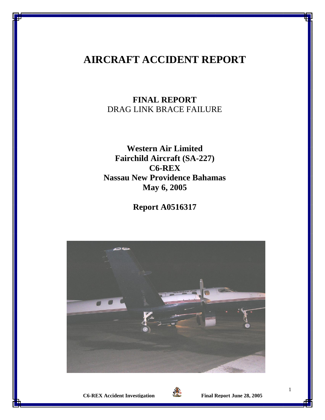# **AIRCRAFT ACCIDENT REPORT**

**FINAL REPORT** DRAG LINK BRACE FAILURE

**Western Air Limited Fairchild Aircraft (SA-227) C6-REX Nassau New Providence Bahamas May 6, 2005**

**Report A0516317**



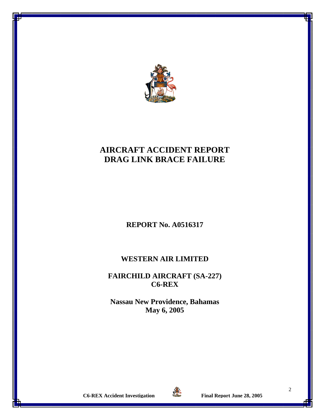

# **AIRCRAFT ACCIDENT REPORT DRAG LINK BRACE FAILURE**

**REPORT No. A0516317**

# **WESTERN AIR LIMITED**

**FAIRCHILD AIRCRAFT (SA-227) C6-REX**

**Nassau New Providence, Bahamas May 6, 2005**



2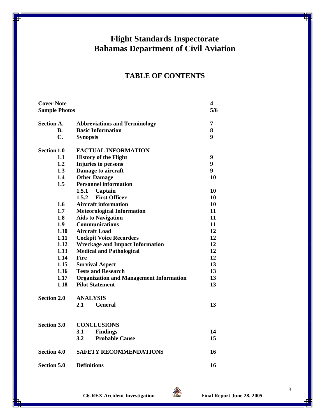# **Flight Standards Inspectorate Bahamas Department of Civil Aviation**

# **TABLE OF CONTENTS**

| <b>Cover Note</b>    |                                                | $\overline{\mathbf{4}}$<br>5/6 |  |
|----------------------|------------------------------------------------|--------------------------------|--|
| <b>Sample Photos</b> |                                                |                                |  |
|                      |                                                |                                |  |
| <b>Section A.</b>    | <b>Abbreviations and Terminology</b>           | 7                              |  |
| В.                   | <b>Basic Information</b>                       | 8                              |  |
| C.                   | <b>Synopsis</b>                                | 9                              |  |
| <b>Section 1.0</b>   | <b>FACTUAL INFORMATION</b>                     |                                |  |
| 1.1                  | <b>History of the Flight</b>                   | 9                              |  |
| 1.2                  | Injuries to persons                            | 9                              |  |
| 1.3                  | Damage to aircraft                             | 9                              |  |
| 1.4                  | <b>Other Damage</b>                            | 10                             |  |
| 1.5                  | <b>Personnel information</b>                   |                                |  |
|                      | 1.5.1<br>Captain                               | 10                             |  |
|                      | 1.5.2<br><b>First Officer</b>                  | 10                             |  |
| 1.6                  | <b>Aircraft information</b>                    | 10                             |  |
| 1.7                  | <b>Meteorological Information</b>              | 11                             |  |
| 1.8                  | <b>Aids to Navigation</b>                      | 11                             |  |
| 1.9                  | <b>Communications</b>                          | 11                             |  |
| 1.10                 | <b>Aircraft Load</b>                           | 12                             |  |
| 1.11                 | <b>Cockpit Voice Recorders</b>                 | 12                             |  |
| 1.12                 | <b>Wreckage and Impact Information</b>         | 12                             |  |
| 1.13                 | <b>Medical and Pathological</b>                | 12                             |  |
| 1.14                 | <b>Fire</b>                                    | 12                             |  |
| 1.15                 | <b>Survival Aspect</b>                         | 13                             |  |
| 1.16                 | <b>Tests and Research</b>                      | 13                             |  |
| 1.17                 | <b>Organization and Management Information</b> | 13                             |  |
| 1.18                 | <b>Pilot Statement</b>                         | 13                             |  |
|                      |                                                |                                |  |
| <b>Section 2.0</b>   | <b>ANALYSIS</b>                                |                                |  |
|                      | <b>General</b><br>$2.1\,$                      | 13                             |  |
|                      |                                                |                                |  |
| <b>Section 3.0</b>   | <b>CONCLUSIONS</b>                             |                                |  |
|                      | 3.1<br><b>Findings</b>                         | 14                             |  |
|                      | 3.2<br><b>Probable Cause</b>                   | 15                             |  |
|                      |                                                |                                |  |
| <b>Section 4.0</b>   | <b>SAFETY RECOMMENDATIONS</b>                  | 16                             |  |
|                      |                                                |                                |  |
| <b>Section 5.0</b>   | <b>Definitions</b>                             | 16                             |  |

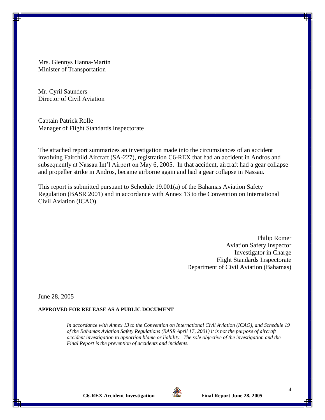Mrs. Glennys Hanna-Martin Minister of Transportation

Mr. Cyril Saunders Director of Civil Aviation

Captain Patrick Rolle Manager of Flight Standards Inspectorate

The attached report summarizes an investigation made into the circumstances of an accident involving Fairchild Aircraft (SA-227), registration C6-REX that had an accident in Andros and subsequently at Nassau Int'l Airport on May 6, 2005. In that accident, aircraft had a gear collapse and propeller strike in Andros, became airborne again and had a gear collapse in Nassau.

This report is submitted pursuant to Schedule 19.001(a) of the Bahamas Aviation Safety Regulation (BASR 2001) and in accordance with Annex 13 to the Convention on International Civil Aviation (ICAO).

> Philip Romer Aviation Safety Inspector Investigator in Charge Flight Standards Inspectorate Department of Civil Aviation (Bahamas)

June 28, 2005

#### **APPROVED FOR RELEASE AS A PUBLIC DOCUMENT**

*In accordance with Annex 13 to the Convention on International Civil Aviation (ICAO), and Schedule 19 of the Bahamas Aviation Safety Regulations (BASR April 17, 2001) it is not the purpose of aircraft accident investigation to apportion blame or liability. The sole objective of the investigation and the Final Report is the prevention of accidents and incidents.*

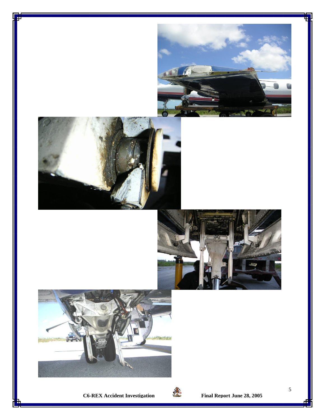







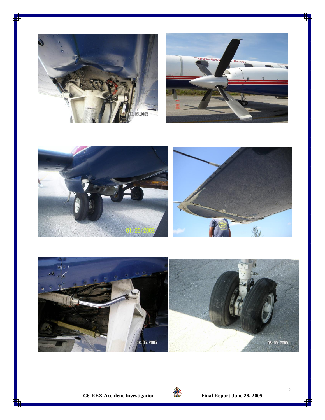







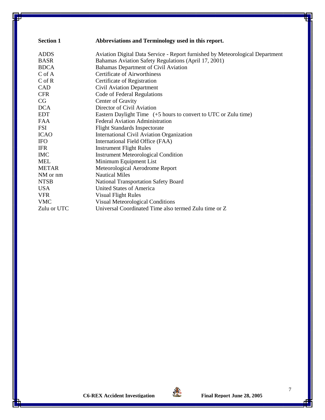| <b>Section 1</b> | Abbreviations and Terminology used in this report.                            |
|------------------|-------------------------------------------------------------------------------|
| <b>ADDS</b>      | Aviation Digital Data Service - Report furnished by Meteorological Department |
| <b>BASR</b>      | Bahamas Aviation Safety Regulations (April 17, 2001)                          |
| <b>BDCA</b>      | Bahamas Department of Civil Aviation                                          |
| $C$ of $A$       | <b>Certificate of Airworthiness</b>                                           |
| $C$ of $R$       | Certificate of Registration                                                   |
| CAD              | Civil Aviation Department                                                     |
| <b>CFR</b>       | Code of Federal Regulations                                                   |
| CG               | Center of Gravity                                                             |
| <b>DCA</b>       | Director of Civil Aviation                                                    |
| <b>EDT</b>       | Eastern Daylight Time (+5 hours to convert to UTC or Zulu time)               |
| <b>FAA</b>       | <b>Federal Aviation Administration</b>                                        |
| <b>FSI</b>       | <b>Flight Standards Inspectorate</b>                                          |
| <b>ICAO</b>      | <b>International Civil Aviation Organization</b>                              |
| <b>IFO</b>       | International Field Office (FAA)                                              |
| <b>IFR</b>       | <b>Instrument Flight Rules</b>                                                |
| <b>IMC</b>       | <b>Instrument Meteorological Condition</b>                                    |
| <b>MEL</b>       | Minimum Equipment List                                                        |
| <b>METAR</b>     | Meteorological Aerodrome Report                                               |
| NM or nm         | <b>Nautical Miles</b>                                                         |
| <b>NTSB</b>      | <b>National Transportation Safety Board</b>                                   |
| <b>USA</b>       | United States of America                                                      |
| <b>VFR</b>       | <b>Visual Flight Rules</b>                                                    |
| <b>VMC</b>       | <b>Visual Meteorological Conditions</b>                                       |
| Zulu or UTC      | Universal Coordinated Time also termed Zulu time or Z                         |

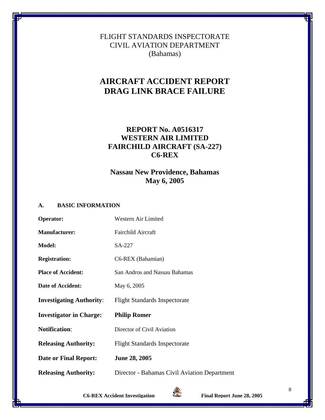FLIGHT STANDARDS INSPECTORATE CIVIL AVIATION DEPARTMENT (Bahamas)

# **AIRCRAFT ACCIDENT REPORT DRAG LINK BRACE FAILURE**

# **REPORT No. A0516317 WESTERN AIR LIMITED FAIRCHILD AIRCRAFT (SA-227) C6-REX**

# **Nassau New Providence, Bahamas May 6, 2005**

#### **A. BASIC INFORMATION**

| <b>Operator:</b>                | Western Air Limited                          |
|---------------------------------|----------------------------------------------|
| <b>Manufacturer:</b>            | Fairchild Aircraft                           |
| <b>Model:</b>                   | SA-227                                       |
| <b>Registration:</b>            | C6-REX (Bahamian)                            |
| <b>Place of Accident:</b>       | San Andros and Nassau Bahamas                |
| <b>Date of Accident:</b>        | May 6, 2005                                  |
| <b>Investigating Authority:</b> | <b>Flight Standards Inspectorate</b>         |
| <b>Investigator in Charge:</b>  | <b>Philip Romer</b>                          |
| <b>Notification:</b>            | Director of Civil Aviation                   |
| <b>Releasing Authority:</b>     | <b>Flight Standards Inspectorate</b>         |
| <b>Date or Final Report:</b>    | <b>June 28, 2005</b>                         |
| <b>Releasing Authority:</b>     | Director - Bahamas Civil Aviation Department |

**C6-REX Accident Investigation Final Report June 28, 2005**

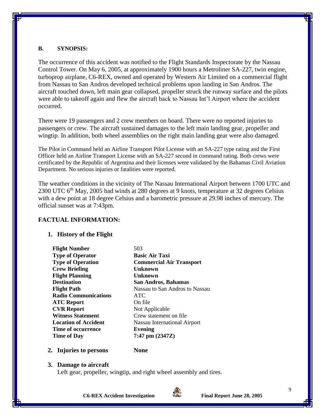#### **B. SYNOPSIS:**

The occurrence of this accident was notified to the Flight Standards Inspectorate by the Nassau Control Tower. On May 6, 2005, at approximately 1900 hours a Metroliner SA-227, twin engine, turboprop airplane, C6-REX, owned and operated by Western Air Limited on a commercial flight from Nassau to San Andros developed technical problems upon landing in San Andros. The aircraft touched down, left main gear collapsed, propeller struck the runway surface and the pilots were able to takeoff again and flew the aircraft back to Nassau Int'l Airport where the accident occurred.

There were 19 passengers and 2 crew members on board. There were no reported injuries to passengers or crew. The aircraft sustained damages to the left main landing gear, propeller and wingtip. In addition, both wheel assemblies on the right main landing gear were also damaged.

The Pilot in Command held an Airline Transport Pilot License with an SA-227 type rating and the First Officer held an Airline Transport License with an SA-227 second in command rating. Both crews were certificated by the Republic of Argentina and their licenses were validated by the Bahamas Civil Aviation Department. No serious injuries or fatalities were reported.

The weather conditions in the vicinity of The Nassau International Airport between 1700 UTC and 2300 UTC 6<sup>th</sup> May, 2005 had winds at 280 degrees at 9 knots, temperature at 32 degrees Celsius with a dew point at 18 degree Celsius and a barometric pressure at 29.98 inches of mercury. The official sunset was at 7:43pm.

#### **FACTUAL INFORMATION:**

#### **1. History of the Flight**

| <b>Flight Number</b>        | 503                                 |
|-----------------------------|-------------------------------------|
| <b>Type of Operator</b>     | <b>Basic Air Taxi</b>               |
| <b>Type of Operation</b>    | <b>Commercial Air Transport</b>     |
| <b>Crew Briefing</b>        | Unknown                             |
| <b>Flight Planning</b>      | Unknown                             |
| <b>Destination</b>          | San Andros, Bahamas                 |
| <b>Flight Path</b>          | Nassau to San Andros to Nassau      |
| <b>Radio Communications</b> | ATC                                 |
| <b>ATC Report</b>           | On file                             |
| <b>CVR Report</b>           | Not Applicable                      |
| <b>Witness Statement</b>    | Crew statement on file              |
| <b>Location of Accident</b> | <b>Nassau International Airport</b> |
| Time of occurrence          | Evening                             |
| <b>Time of Day</b>          | 7:47 pm $(2347Z)$                   |
|                             |                                     |

**2. Injuries to persons None**

#### **3. Damage to aircraft**

Left gear, propeller, wingtip, and right wheel assembly and tires.

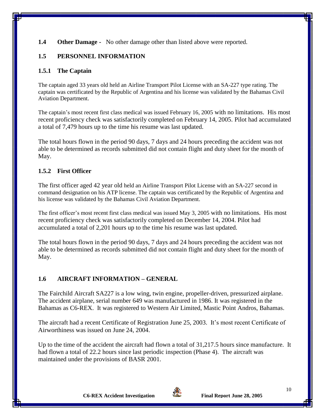**1.4 Other Damage -** No other damage other than listed above were reported.

# **1.5 PERSONNEL INFORMATION**

## **1.5.1 The Captain**

The captain aged 33 years old held an Airline Transport Pilot License with an SA-227 type rating. The captain was certificated by the Republic of Argentina and his license was validated by the Bahamas Civil Aviation Department.

The captain's most recent first class medical was issued February 16, 2005 with no limitations. His most recent proficiency check was satisfactorily completed on February 14, 2005. Pilot had accumulated a total of 7,479 hours up to the time his resume was last updated.

The total hours flown in the period 90 days, 7 days and 24 hours preceding the accident was not able to be determined as records submitted did not contain flight and duty sheet for the month of May.

# **1.5.2 First Officer**

The first officer aged 42 year old held an Airline Transport Pilot License with an SA-227 second in command designation on his ATP license. The captain was certificated by the Republic of Argentina and his license was validated by the Bahamas Civil Aviation Department.

The first officer's most recent first class medical was issued May 3, 2005 with no limitations. His most recent proficiency check was satisfactorily completed on December 14, 2004. Pilot had accumulated a total of 2,201 hours up to the time his resume was last updated.

The total hours flown in the period 90 days, 7 days and 24 hours preceding the accident was not able to be determined as records submitted did not contain flight and duty sheet for the month of May.

# **1.6 AIRCRAFT INFORMATION – GENERAL**

The Fairchild Aircraft SA227 is a low wing, twin engine, propeller-driven, pressurized airplane. The accident airplane, serial number 649 was manufactured in 1986. It was registered in the Bahamas as C6-REX. It was registered to Western Air Limited, Mastic Point Andros, Bahamas.

The aircraft had a recent Certificate of Registration June 25, 2003. It's most recent Certificate of Airworthiness was issued on June 24, 2004.

Up to the time of the accident the aircraft had flown a total of 31,217.5 hours since manufacture. It had flown a total of 22.2 hours since last periodic inspection (Phase 4). The aircraft was maintained under the provisions of BASR 2001.

10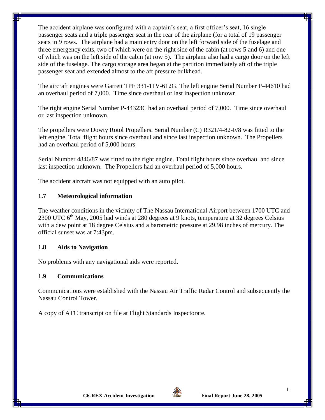The accident airplane was configured with a captain's seat, a first officer's seat, 16 single passenger seats and a triple passenger seat in the rear of the airplane (for a total of 19 passenger seats in 9 rows. The airplane had a main entry door on the left forward side of the fuselage and three emergency exits, two of which were on the right side of the cabin (at rows 5 and 6) and one of which was on the left side of the cabin (at row 5). The airplane also had a cargo door on the left side of the fuselage. The cargo storage area began at the partition immediately aft of the triple passenger seat and extended almost to the aft pressure bulkhead.

The aircraft engines were Garrett TPE 331-11V-612G. The left engine Serial Number P-44610 had an overhaul period of 7,000. Time since overhaul or last inspection unknown

The right engine Serial Number P-44323C had an overhaul period of 7,000. Time since overhaul or last inspection unknown.

The propellers were Dowty Rotol Propellers. Serial Number (C) R321/4-82-F/8 was fitted to the left engine. Total flight hours since overhaul and since last inspection unknown. The Propellers had an overhaul period of 5,000 hours

Serial Number 4846/87 was fitted to the right engine. Total flight hours since overhaul and since last inspection unknown. The Propellers had an overhaul period of 5,000 hours.

The accident aircraft was not equipped with an auto pilot.

## **1.7 Meteorological information**

The weather conditions in the vicinity of The Nassau International Airport between 1700 UTC and 2300 UTC 6<sup>th</sup> May, 2005 had winds at 280 degrees at 9 knots, temperature at 32 degrees Celsius with a dew point at 18 degree Celsius and a barometric pressure at 29.98 inches of mercury. The official sunset was at 7:43pm.

#### **1.8 Aids to Navigation**

No problems with any navigational aids were reported.

#### **1.9 Communications**

Communications were established with the Nassau Air Traffic Radar Control and subsequently the Nassau Control Tower.

A copy of ATC transcript on file at Flight Standards Inspectorate.

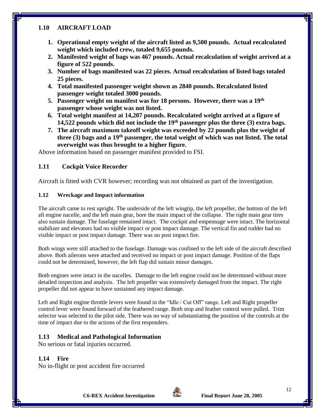#### **1.10 AIRCRAFT LOAD**

- **1. Operational empty weight of the aircraft listed as 9,500 pounds. Actual recalculated weight which included crew, totaled 9,655 pounds.**
- **2. Manifested weight of bags was 467 pounds. Actual recalculation of weight arrived at a figure of 522 pounds.**
- **3. Number of bags manifested was 22 pieces. Actual recalculation of listed bags totaled 25 pieces.**
- **4. Total manifested passenger weight shown as 2840 pounds. Recalculated listed passenger weight totaled 3000 pounds.**
- **5. Passenger weight on manifest was for 18 persons. However, there was a 19th passenger whose weight was not listed.**
- **6. Total weight manifest at 14,207 pounds. Recalculated weight arrived at a figure of 14,522 pounds which did not include the 19th passenger plus the three (3) extra bags.**
- **7. The aircraft maximum takeoff weight was exceeded by 22 pounds plus the weight of three (3) bags and a 19th passenger, the total weight of which was not listed. The total overweight was thus brought to a higher figure.**

Above information based on passenger manifest provided to FSI.

### **1.11 Cockpit Voice Recorder**

Aircraft is fitted with CVR however; recording was not obtained as part of the investigation.

#### **1.12 Wreckage and Impact information**

The aircraft came to rest upright. The underside of the left wingtip, the left propeller, the bottom of the left aft engine nacelle, and the left main gear, bore the main impact of the collapse. The right main gear tires also sustain damage. The fuselage remained intact. The cockpit and empennage were intact. The horizontal stabilizer and elevators had no visible impact or post impact damage. The vertical fin and rudder had no visible impact or post impact damage. There was no post impact fire.

Both wings were still attached to the fuselage. Damage was confined to the left side of the aircraft described above. Both ailerons were attached and received no impact or post impact damage. Position of the flaps could not be determined, however, the left flap did sustain minor damages.

Both engines were intact in the nacelles. Damage to the left engine could not be determined without more detailed inspection and analysis. The left propeller was extensively damaged from the impact. The right propeller did not appear to have sustained any impact damage.

Left and Right engine throttle levers were found in the "Idle / Cut Off" range. Left and Right propeller control lever were found forward of the feathered range. Both stop and feather control were pulled. Trim selector was selected to the pilot side. There was no way of substantiating the position of the controls at the time of impact due to the actions of the first responders.

#### **1.13 Medical and Pathological Information**

No serious or fatal injuries occurred.

# **1.14 Fire**

No in-flight or post accident fire occurred

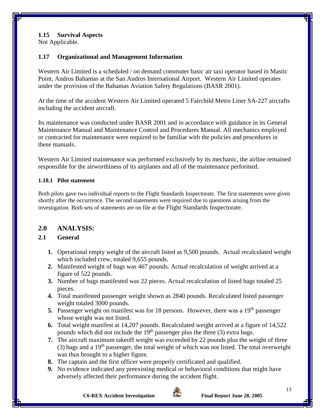# **1.15 Survival Aspects**

Not Applicable.

# **1.17 Organizational and Management Information**

Western Air Limited is a scheduled / on demand commuter basic air taxi operator based in Mastic Point, Andros Bahamas at the San Andros International Airport. Western Air Limited operates under the provision of the Bahamas Aviation Safety Regulations (BASR 2001).

At the time of the accident Western Air Limited operated 5 Fairchild Metro Liner SA-227 aircrafts including the accident aircraft.

Its maintenance was conducted under BASR 2001 and in accordance with guidance in its General Maintenance Manual and Maintenance Control and Procedures Manual. All mechanics employed or contracted for maintenance were required to be familiar with the policies and procedures in these manuals.

Western Air Limited maintenance was performed exclusively by its mechanic, the airline remained responsible for the airworthiness of its airplanes and all of the maintenance performed.

#### **1.18.1 Pilot statement**

Both pilots gave two individual reports to the Flight Standards Inspectorate. The first statements were given shortly after the occurrence. The second statements were required due to questions arising from the investigation. Both sets of statements are on file at the Flight Standards Inspectorate.

# **2.0 ANALYSIS:**

# **2.1 General**

- **1.** Operational empty weight of the aircraft listed as 9,500 pounds. Actual recalculated weight which included crew, totaled 9,655 pounds.
- **2.** Manifested weight of bags was 467 pounds. Actual recalculation of weight arrived at a figure of 522 pounds.
- **3.** Number of bags manifested was 22 pieces. Actual recalculation of listed bags totaled 25 pieces.
- **4.** Total manifested passenger weight shown as 2840 pounds. Recalculated listed passenger weight totaled 3000 pounds.
- **5.** Passenger weight on manifest was for 18 persons. However, there was a 19<sup>th</sup> passenger whose weight was not listed.
- **6.** Total weight manifest at 14,207 pounds. Recalculated weight arrived at a figure of 14,522 pounds which did not include the  $19<sup>th</sup>$  passenger plus the three (3) extra bags.
- **7.** The aircraft maximum takeoff weight was exceeded by 22 pounds plus the weight of three (3) bags and a  $19<sup>th</sup>$  passenger, the total weight of which was not listed. The total overweight was thus brought to a higher figure.
- **8.** The captain and the first officer were properly certificated and qualified.
- **9.** No evidence indicated any preexisting medical or behavioral conditions that might have adversely affected their performance during the accident flight.

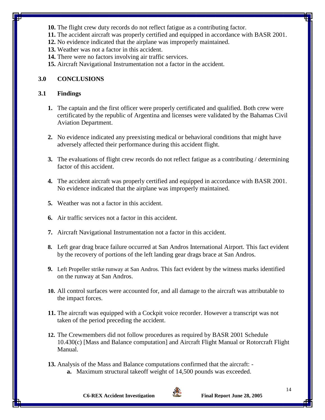- **10.** The flight crew duty records do not reflect fatigue as a contributing factor.
- **11.** The accident aircraft was properly certified and equipped in accordance with BASR 2001.
- **12.** No evidence indicated that the airplane was improperly maintained.
- **13.** Weather was not a factor in this accident.
- **14.** There were no factors involving air traffic services.
- **15.** Aircraft Navigational Instrumentation not a factor in the accident.

# **3.0 CONCLUSIONS**

## **3.1 Findings**

- **1.** The captain and the first officer were properly certificated and qualified. Both crew were certificated by the republic of Argentina and licenses were validated by the Bahamas Civil Aviation Department.
- **2.** No evidence indicated any preexisting medical or behavioral conditions that might have adversely affected their performance during this accident flight.
- **3.** The evaluations of flight crew records do not reflect fatigue as a contributing / determining factor of this accident.
- **4.** The accident aircraft was properly certified and equipped in accordance with BASR 2001. No evidence indicated that the airplane was improperly maintained.
- **5.** Weather was not a factor in this accident.
- **6.** Air traffic services not a factor in this accident.
- **7.** Aircraft Navigational Instrumentation not a factor in this accident.
- **8.** Left gear drag brace failure occurred at San Andros International Airport. This fact evident by the recovery of portions of the left landing gear drags brace at San Andros.
- **9.** Left Propeller strike runway at San Andros. This fact evident by the witness marks identified on the runway at San Andros.
- **10.** All control surfaces were accounted for, and all damage to the aircraft was attributable to the impact forces.
- **11.** The aircraft was equipped with a Cockpit voice recorder. However a transcript was not taken of the period preceding the accident.
- **12.** The Crewmembers did not follow procedures as required by BASR 2001 Schedule 10.430(c) [Mass and Balance computation] and Aircraft Flight Manual or Rotorcraft Flight Manual.
- **13.** Analysis of the Mass and Balance computations confirmed that the aircraft:
	- **a.** Maximum structural takeoff weight of 14,500 pounds was exceeded.



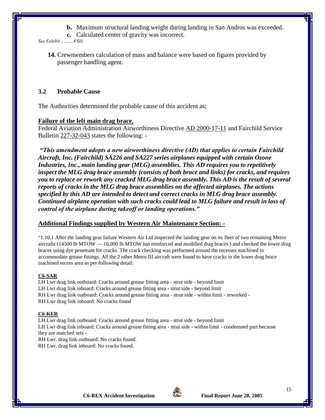- **b.** Maximum structural landing weight during landing in San Andros was exceeded.
- **c.** Calculated center of gravity was incorrect.

*See Exhibit ………FSI1*

**14.** Crewmembers calculation of mass and balance were based on figures provided by passenger handling agent.

### **3.2 Probable Cause**

The Authorities determined the probable cause of this accident as;

### **Failure of the left main drag brace.**

Federal Aviation Administration Airworthiness Directive AD 2000-17-11 and Fairchild Service Bulletin 227-32-043 states the following: -

*"This amendment adopts a new airworthiness directive (AD) that applies to certain Fairchild Aircraft, Inc. (Fairchild) SA226 and SA227 series airplanes equipped with certain Ozone Industries, Inc., main landing gear (MLG) assemblies. This AD requires you to repetitively inspect the MLG drag brace assembly (consists of both brace and links) for cracks, and requires you to replace or rework any cracked MLG drag brace assembly. This AD is the result of several reports of cracks in the MLG drag brace assemblies on the affected airplanes. The actions specified by this AD are intended to detect and correct cracks in MLG drag brace assembly. Continued airplane operation with such cracks could lead to MLG failure and result in loss of control of the airplane during takeoff or landing operations."*

# **Additional Findings supplied by Western Air Maintenance Section: -**

"1.10.1 After the landing gear failure Western Air Ltd inspected the landing gear on its fleet of two remaining Metro aircrafts (14500 lb MTOW — 16,000 lb MTOW has reinforced and modified drag braces ) and checked the lower drag braces using dye penetrant for cracks. The crack checking was performed around the recesses machined to accommodate grease fittings. All the 2 other Metro III aircraft were found to have cracks in the lower drag brace machined recess area as per following detail:

#### **C6-SAR**

LH Lwr drag link outboard: Cracks around grease fitting area - strut side - beyond limit LH Lwr drag link inboard: Cracks around grease fitting area - strut side - beyond limit RH Lwr drag link outboard: Cracks around grease fitting area - strut side - within limit - reworked - RH Lwr drag link inboard: No cracks found

#### **C6-KER**

LH Lwr drag link outboard: Cracks around grease fitting area - strut side - beyond limit LH Lwr drag link inboard: Cracks around grease fitting area - strut side - within limit - condemned part because they are matched sets -

RH Lwr. drag link outboard: No cracks found.

RH Lwr. drag link inboard: No cracks found.